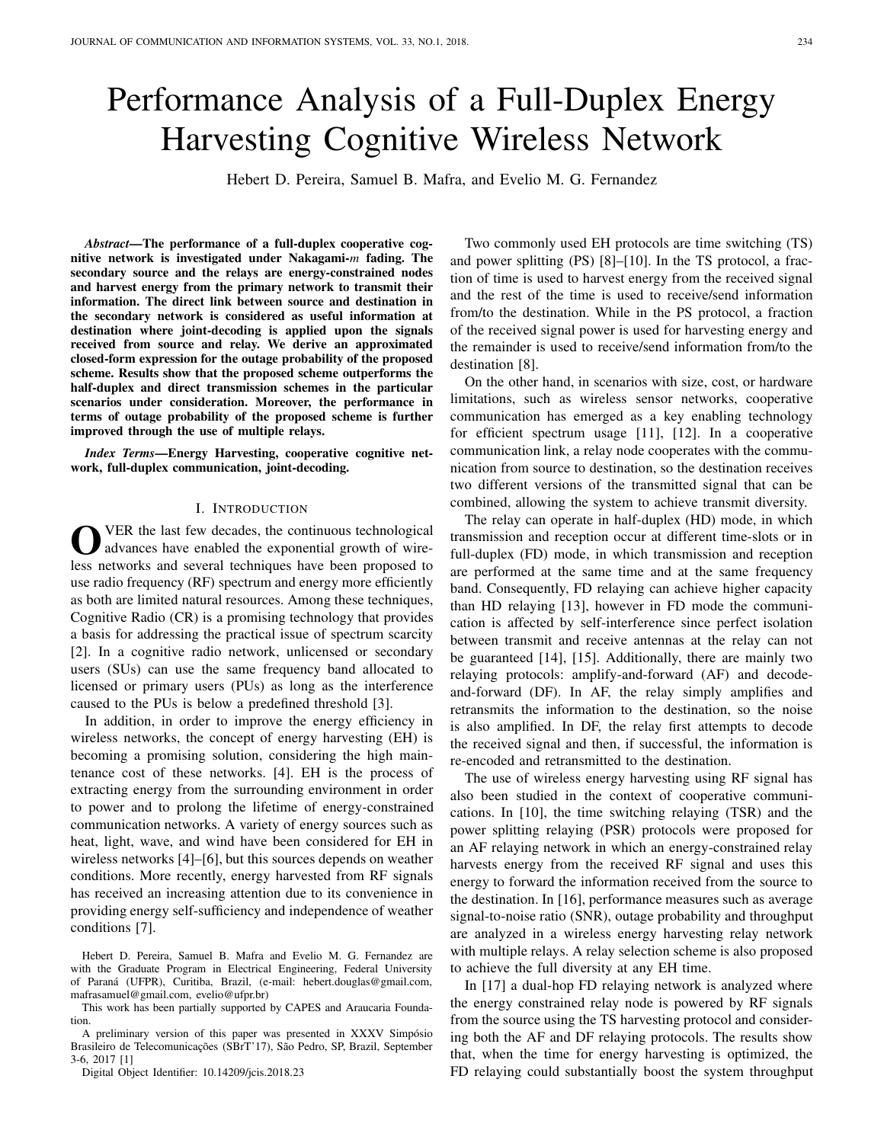# Performance Analysis of a Full-Duplex Energy Harvesting Cognitive Wireless Network

Hebert D. Pereira, Samuel B. Mafra, and Evelio M. G. Fernandez

*Abstract*—The performance of a full-duplex cooperative cognitive network is investigated under Nakagami-*m* fading. The secondary source and the relays are energy-constrained nodes and harvest energy from the primary network to transmit their information. The direct link between source and destination in the secondary network is considered as useful information at destination where joint-decoding is applied upon the signals received from source and relay. We derive an approximated closed-form expression for the outage probability of the proposed scheme. Results show that the proposed scheme outperforms the half-duplex and direct transmission schemes in the particular scenarios under consideration. Moreover, the performance in terms of outage probability of the proposed scheme is further improved through the use of multiple relays.

*Index Terms*—Energy Harvesting, cooperative cognitive network, full-duplex communication, joint-decoding.

### I. INTRODUCTION

O VER the last few decades, the continuous technological<br>advances have enabled the exponential growth of wire-VER the last few decades, the continuous technological less networks and several techniques have been proposed to use radio frequency (RF) spectrum and energy more efficiently as both are limited natural resources. Among these techniques, Cognitive Radio (CR) is a promising technology that provides a basis for addressing the practical issue of spectrum scarcity [2]. In a cognitive radio network, unlicensed or secondary users (SUs) can use the same frequency band allocated to licensed or primary users (PUs) as long as the interference caused to the PUs is below a predefined threshold [3].

In addition, in order to improve the energy efficiency in wireless networks, the concept of energy harvesting (EH) is becoming a promising solution, considering the high maintenance cost of these networks. [4]. EH is the process of extracting energy from the surrounding environment in order to power and to prolong the lifetime of energy-constrained communication networks. A variety of energy sources such as heat, light, wave, and wind have been considered for EH in wireless networks [4]–[6], but this sources depends on weather conditions. More recently, energy harvested from RF signals has received an increasing attention due to its convenience in providing energy self-sufficiency and independence of weather conditions [7].

Hebert D. Pereira, Samuel B. Mafra and Evelio M. G. Fernandez are with the Graduate Program in Electrical Engineering, Federal University of Paraná (UFPR), Curitiba, Brazil, (e-mail: hebert.douglas@gmail.com, mafrasamuel@gmail.com, evelio@ufpr.br)

This work has been partially supported by CAPES and Araucaria Foundation.

A preliminary version of this paper was presented in XXXV Simpósio Brasileiro de Telecomunicações (SBrT'17), São Pedro, SP, Brazil, September 3-6, 2017 [1]

Digital Object Identifier: 10.14209/jcis.2018.23

Two commonly used EH protocols are time switching (TS) and power splitting (PS) [8]–[10]. In the TS protocol, a fraction of time is used to harvest energy from the received signal and the rest of the time is used to receive/send information from/to the destination. While in the PS protocol, a fraction of the received signal power is used for harvesting energy and the remainder is used to receive/send information from/to the destination [8].

On the other hand, in scenarios with size, cost, or hardware limitations, such as wireless sensor networks, cooperative communication has emerged as a key enabling technology for efficient spectrum usage [11], [12]. In a cooperative communication link, a relay node cooperates with the communication from source to destination, so the destination receives two different versions of the transmitted signal that can be combined, allowing the system to achieve transmit diversity.

The relay can operate in half-duplex (HD) mode, in which transmission and reception occur at different time-slots or in full-duplex (FD) mode, in which transmission and reception are performed at the same time and at the same frequency band. Consequently, FD relaying can achieve higher capacity than HD relaying [13], however in FD mode the communication is affected by self-interference since perfect isolation between transmit and receive antennas at the relay can not be guaranteed [14], [15]. Additionally, there are mainly two relaying protocols: amplify-and-forward (AF) and decodeand-forward (DF). In AF, the relay simply amplifies and retransmits the information to the destination, so the noise is also amplified. In DF, the relay first attempts to decode the received signal and then, if successful, the information is re-encoded and retransmitted to the destination.

The use of wireless energy harvesting using RF signal has also been studied in the context of cooperative communications. In [10], the time switching relaying (TSR) and the power splitting relaying (PSR) protocols were proposed for an AF relaying network in which an energy-constrained relay harvests energy from the received RF signal and uses this energy to forward the information received from the source to the destination. In [16], performance measures such as average signal-to-noise ratio (SNR), outage probability and throughput are analyzed in a wireless energy harvesting relay network with multiple relays. A relay selection scheme is also proposed to achieve the full diversity at any EH time.

In [17] a dual-hop FD relaying network is analyzed where the energy constrained relay node is powered by RF signals from the source using the TS harvesting protocol and considering both the AF and DF relaying protocols. The results show that, when the time for energy harvesting is optimized, the FD relaying could substantially boost the system throughput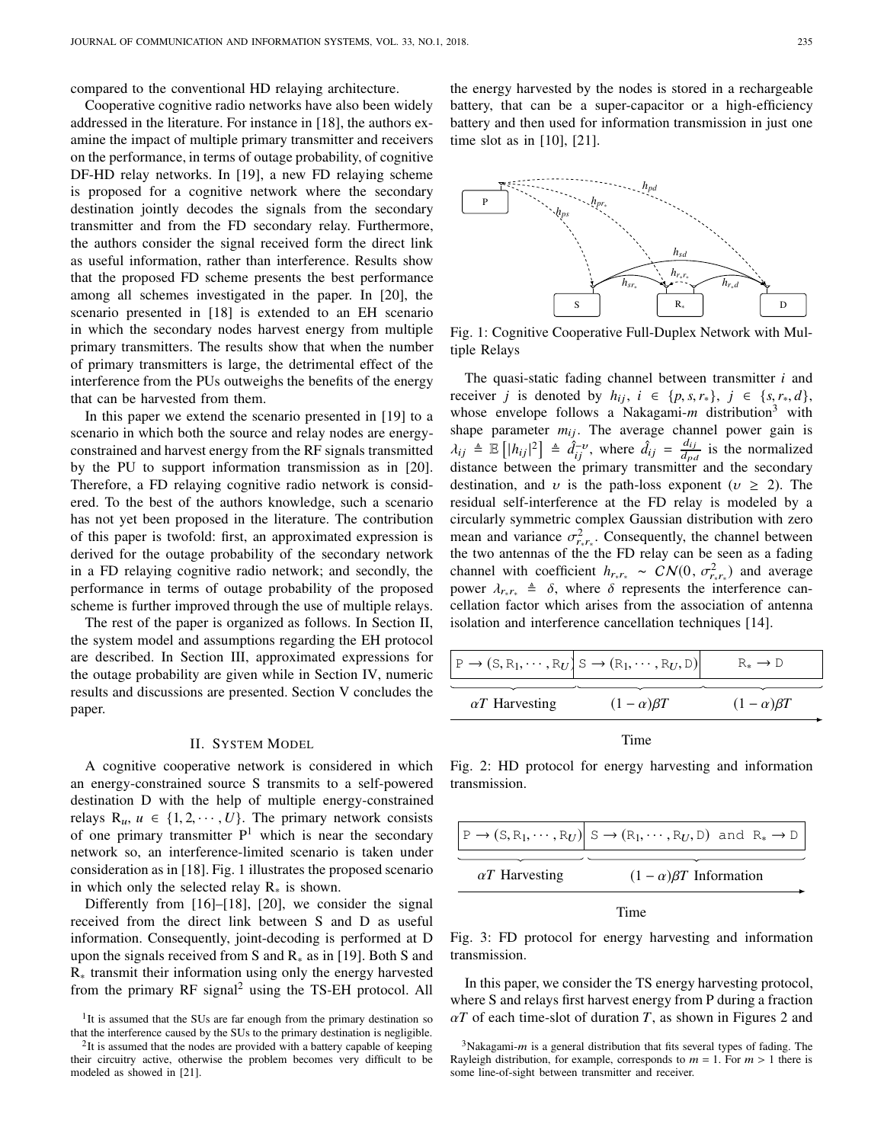compared to the conventional HD relaying architecture.

Cooperative cognitive radio networks have also been widely addressed in the literature. For instance in [18], the authors examine the impact of multiple primary transmitter and receivers on the performance, in terms of outage probability, of cognitive DF-HD relay networks. In [19], a new FD relaying scheme is proposed for a cognitive network where the secondary destination jointly decodes the signals from the secondary transmitter and from the FD secondary relay. Furthermore, the authors consider the signal received form the direct link as useful information, rather than interference. Results show that the proposed FD scheme presents the best performance among all schemes investigated in the paper. In [20], the scenario presented in [18] is extended to an EH scenario in which the secondary nodes harvest energy from multiple primary transmitters. The results show that when the number of primary transmitters is large, the detrimental effect of the interference from the PUs outweighs the benefits of the energy that can be harvested from them.

In this paper we extend the scenario presented in [19] to a scenario in which both the source and relay nodes are energyconstrained and harvest energy from the RF signals transmitted by the PU to support information transmission as in [20]. Therefore, a FD relaying cognitive radio network is considered. To the best of the authors knowledge, such a scenario has not yet been proposed in the literature. The contribution of this paper is twofold: first, an approximated expression is derived for the outage probability of the secondary network in a FD relaying cognitive radio network; and secondly, the performance in terms of outage probability of the proposed scheme is further improved through the use of multiple relays.

The rest of the paper is organized as follows. In Section II, the system model and assumptions regarding the EH protocol are described. In Section III, approximated expressions for the outage probability are given while in Section IV, numeric results and discussions are presented. Section V concludes the paper.

#### II. SYSTEM MODEL

A cognitive cooperative network is considered in which an energy-constrained source S transmits to a self-powered destination D with the help of multiple energy-constrained relays  $R_u$ ,  $u \in \{1, 2, \dots, U\}$ . The primary network consists of one primary transmitter  $P<sup>1</sup>$  which is near the secondary network so, an interference-limited scenario is taken under consideration as in [18]. Fig. 1 illustrates the proposed scenario in which only the selected relay R<sup>∗</sup> is shown.

Differently from [16]–[18], [20], we consider the signal received from the direct link between S and D as useful information. Consequently, joint-decoding is performed at D upon the signals received from S and  $R_{\ast}$  as in [19]. Both S and R<sup>∗</sup> transmit their information using only the energy harvested from the primary RF signal<sup>2</sup> using the TS-EH protocol. All

the energy harvested by the nodes is stored in a rechargeable battery, that can be a super-capacitor or a high-efficiency battery and then used for information transmission in just one time slot as in [10], [21].



Fig. 1: Cognitive Cooperative Full-Duplex Network with Multiple Relays

The quasi-static fading channel between transmitter *i* and *receiver j* is denoted by  $h_{ij}$ ,  $i \in \{p, s, r_*\}, j \in \{s, r_*, d\},\$ whose envelope follows a Nakagami-*m* distribution<sup>3</sup> with shape parameter  $m_{ij}$ . The average channel power gain is  $\lambda_{ij} \triangleq \mathbb{E} \left[ |h_{ij}|^2 \right] \triangleq \tilde{d}_{ij}^{-\nu}$ , where  $\hat{d}_{ij} = \frac{d_{ij}}{d_{\nu}d_{\nu}}$  $\frac{a_{ij}}{d_{pd}}$  is the normalized distance between the primary transmitter and the secondary destination, and v is the path-loss exponent ( $v \ge 2$ ). The residual self-interference at the FD relay is modeled by a circularly symmetric complex Gaussian distribution with zero mean and variance  $\sigma_{r_*r_*}^2$ . Consequently, the channel between the two antennas of the the FD relay can be seen as a fading channel with coefficient  $h_{r_*r_*} \sim \mathcal{CN}(0, \sigma_{r_*r_*}^2)$  and average power  $\lambda_{r*r_{*}} \triangleq \delta$ , where  $\delta$  represents the interference cancellation factor which arises from the association of antenna isolation and interference cancellation techniques [14].

|                       | $\big  \mathbb{P} \to (\mathbb{S}, \mathbb{R}_1, \cdots, \mathbb{R}_U) \mathbb{S} \to (\mathbb{R}_1, \cdots, \mathbb{R}_U, \mathbb{D}) \big $ | $R_* \rightarrow D$ |
|-----------------------|-----------------------------------------------------------------------------------------------------------------------------------------------|---------------------|
| $\alpha T$ Harvesting | $(1-\alpha)\beta T$                                                                                                                           | $(1-\alpha)\beta T$ |

Time

Fig. 2: HD protocol for energy harvesting and information transmission.

|                       | $ P\rightarrow (S, R_1, \cdots, R_U)  S\rightarrow (R_1, \cdots, R_U, D)$ and $R_*\rightarrow D$ |
|-----------------------|--------------------------------------------------------------------------------------------------|
| $\alpha T$ Harvesting | $(1 - \alpha)\beta T$ Information                                                                |

Time

Fig. 3: FD protocol for energy harvesting and information transmission.

In this paper, we consider the TS energy harvesting protocol, where S and relays first harvest energy from P during a fraction  $\alpha T$  of each time-slot of duration *T*, as shown in Figures 2 and

<sup>&</sup>lt;sup>1</sup>It is assumed that the SUs are far enough from the primary destination so that the interference caused by the SUs to the primary destination is negligible.

 $2$ It is assumed that the nodes are provided with a battery capable of keeping their circuitry active, otherwise the problem becomes very difficult to be modeled as showed in [21].

 $3$ Nakagami-*m* is a general distribution that fits several types of fading. The Rayleigh distribution, for example, corresponds to  $m = 1$ . For  $m > 1$  there is some line-of-sight between transmitter and receiver.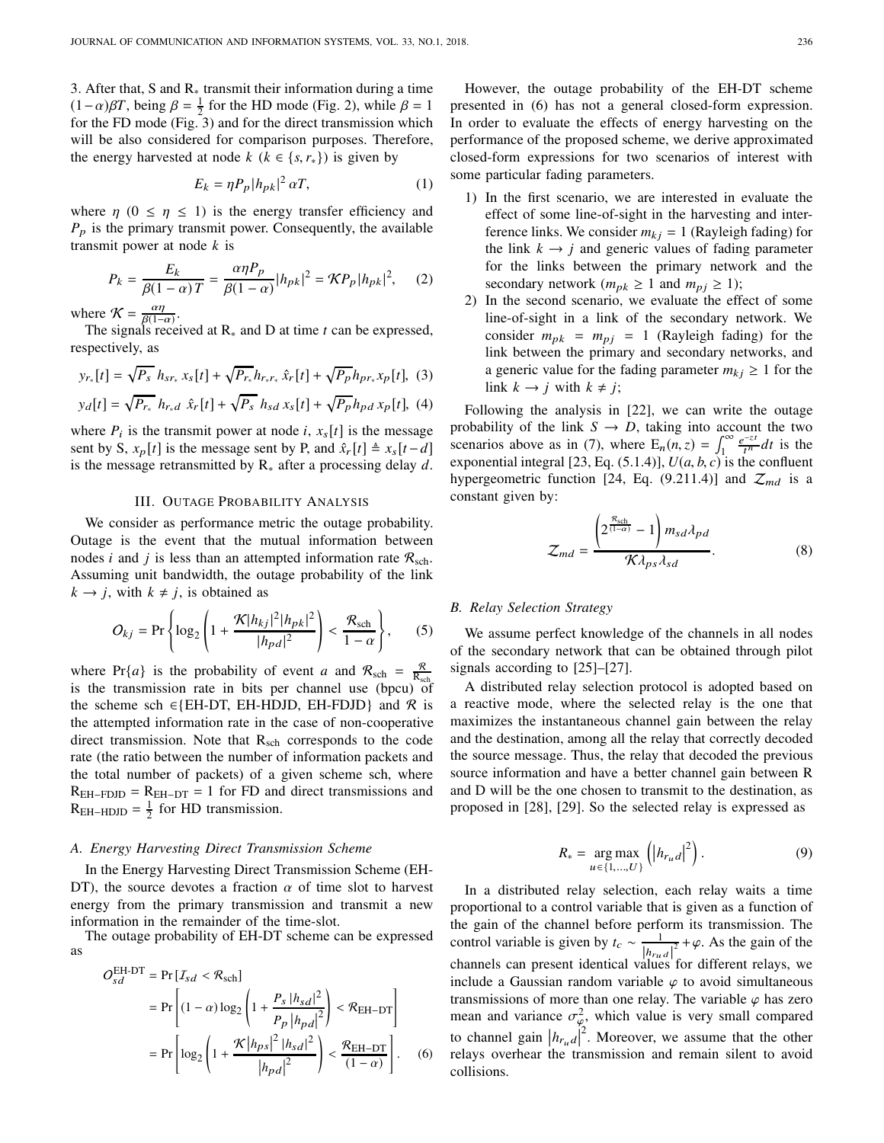3. After that, S and  $R<sub>*</sub>$  transmit their information during a time  $(1-\alpha)\beta T$ , being  $\beta = \frac{1}{2}$  for the HD mode (Fig. 2), while  $\beta = 1$ for the FD mode (Fig. 3) and for the direct transmission which will be also considered for comparison purposes. Therefore, the energy harvested at node  $k$  ( $k \in \{s, r_*\}$ ) is given by

$$
E_k = \eta P_p |h_{pk}|^2 \alpha T,\tag{1}
$$

where  $\eta$  (0  $\leq \eta \leq 1$ ) is the energy transfer efficiency and  $P_p$  is the primary transmit power. Consequently, the available transmit power at node *k* is

$$
P_k = \frac{E_k}{\beta(1-\alpha)T} = \frac{\alpha \eta P_p}{\beta(1-\alpha)} |h_{pk}|^2 = \mathcal{K}P_p |h_{pk}|^2, \quad (2)
$$

where  $\mathcal{K} = \frac{\alpha \eta}{\beta(1 - \epsilon)}$  $\frac{\alpha \eta}{\beta(1-\alpha)}$ .

The signals received at R<sup>∗</sup> and D at time *t* can be expressed, respectively, as

$$
y_{r_*}[t] = \sqrt{P_s} \; h_{sr_*} \, x_s[t] + \sqrt{P_{r_*}} h_{r_*r_*} \, \hat{x}_r[t] + \sqrt{P_p} \, h_{pr_*} x_p[t], \tag{3}
$$
\n
$$
y_d[t] = \sqrt{P_{r_*}} \; h_{r_*d} \; \hat{x}_r[t] + \sqrt{P_s} \; h_{sd} \, x_s[t] + \sqrt{P_p} \, h_{pd} \, x_p[t], \tag{4}
$$

where  $P_i$  is the transmit power at node *i*,  $x_s[t]$  is the message sent by S,  $x_p[t]$  is the message sent by P, and  $\hat{x}_r[t] \triangleq x_s[t-d]$ is the message retransmitted by R<sup>∗</sup> after a processing delay *d*.

#### III. OUTAGE PROBABILITY ANALYSIS

We consider as performance metric the outage probability. Outage is the event that the mutual information between nodes *i* and *j* is less than an attempted information rate  $\mathcal{R}_{\text{sch}}$ . Assuming unit bandwidth, the outage probability of the link  $k \rightarrow j$ , with  $k \neq j$ , is obtained as

$$
O_{kj} = \Pr\left\{\log_2\left(1 + \frac{\mathcal{K}|h_{kj}|^2 |h_{pk}|^2}{|h_{pd}|^2}\right) < \frac{\mathcal{R}_{\text{sch}}}{1 - \alpha}\right\},\qquad(5)
$$

where Pr{*a*} is the probability of event *a* and  $\mathcal{R}_{\text{sch}} = \frac{\mathcal{R}}{R_{\text{sch}}}$ is the transmission rate in bits per channel use (bpcu) of the scheme sch ∈{EH-DT, EH-HDJD, EH-FDJD} and  $\mathcal R$  is the attempted information rate in the case of non-cooperative direct transmission. Note that  $R_{sch}$  corresponds to the code rate (the ratio between the number of information packets and the total number of packets) of a given scheme sch, where  $R_{EH-FDJD} = R_{EH-DT} = 1$  for FD and direct transmissions and  $R_{EH-HDJD} = \frac{1}{2}$  for HD transmission.

#### *A. Energy Harvesting Direct Transmission Scheme*

In the Energy Harvesting Direct Transmission Scheme (EH-DT), the source devotes a fraction  $\alpha$  of time slot to harvest energy from the primary transmission and transmit a new information in the remainder of the time-slot.

The outage probability of EH-DT scheme can be expressed as

$$
O_{sd}^{\text{EH-DT}} = \Pr\left[I_{sd} < \mathcal{R}_{\text{sch}}\right]
$$
\n
$$
= \Pr\left[(1-\alpha)\log_2\left(1 + \frac{P_s \left|h_{sd}\right|^2}{P_p \left|h_{pd}\right|^2}\right) < \mathcal{R}_{\text{EH-DT}}\right]
$$
\n
$$
= \Pr\left[\log_2\left(1 + \frac{\mathcal{K}\left|h_{ps}\right|^2 \left|h_{sd}\right|^2}{\left|h_{pd}\right|^2}\right) < \frac{\mathcal{R}_{\text{EH-DT}}}{(1-\alpha)}\right].\tag{6}
$$

However, the outage probability of the EH-DT scheme presented in (6) has not a general closed-form expression. In order to evaluate the effects of energy harvesting on the performance of the proposed scheme, we derive approximated closed-form expressions for two scenarios of interest with some particular fading parameters.

- 1) In the first scenario, we are interested in evaluate the effect of some line-of-sight in the harvesting and interference links. We consider  $m_{ki} = 1$  (Rayleigh fading) for the link  $k \rightarrow j$  and generic values of fading parameter for the links between the primary network and the secondary network ( $m_{pk} \ge 1$  and  $m_{pj} \ge 1$ );
- 2) In the second scenario, we evaluate the effect of some line-of-sight in a link of the secondary network. We consider  $m_{pk} = m_{pj} = 1$  (Rayleigh fading) for the link between the primary and secondary networks, and a generic value for the fading parameter  $m_{kj} \geq 1$  for the link  $k \rightarrow j$  with  $k \neq j$ ;

Following the analysis in [22], we can write the outage probability of the link  $S \rightarrow D$ , taking into account the two scenarios above as in (7), where  $E_n(n, z) = \int_1^{\infty} \frac{e^{-zt}}{t^n}$  $\frac{c}{t^n}$ *dt* is the exponential integral [23, Eq.  $(5.1.4)$ ],  $U(a, b, c)$  is the confluent hypergeometric function [24, Eq. (9.211.4)] and  $\mathcal{Z}_{md}$  is a constant given by:

$$
Z_{md} = \frac{\left(2^{\frac{\mathcal{R}_{\rm sch}}{(1-\alpha)}} - 1\right) m_{sd} \lambda_{pd}}{\mathcal{K} \lambda_{ps} \lambda_{sd}}.
$$
 (8)

#### *B. Relay Selection Strategy*

We assume perfect knowledge of the channels in all nodes of the secondary network that can be obtained through pilot signals according to [25]–[27].

A distributed relay selection protocol is adopted based on a reactive mode, where the selected relay is the one that maximizes the instantaneous channel gain between the relay and the destination, among all the relay that correctly decoded the source message. Thus, the relay that decoded the previous source information and have a better channel gain between R and D will be the one chosen to transmit to the destination, as proposed in [28], [29]. So the selected relay is expressed as

$$
R_* = \underset{u \in \{1, ..., U\}}{\arg \max} \left( |h_{r_u d}|^2 \right). \tag{9}
$$

In a distributed relay selection, each relay waits a time proportional to a control variable that is given as a function of the gain of the channel before perform its transmission. The control variable is given by  $t_c \sim \frac{1}{11}$  $\frac{1}{\left|h_{ru}\right|^2} + \varphi$ . As the gain of the channels can present identical values for different relays, we include a Gaussian random variable  $\varphi$  to avoid simultaneous transmissions of more than one relay. The variable  $\varphi$  has zero mean and variance  $\sigma_{\varphi}^2$ , which value is very small compared to channel gain  $|h_{r_u d}|^2$ . Moreover, we assume that the other relays overhear the transmission and remain silent to avoid collisions.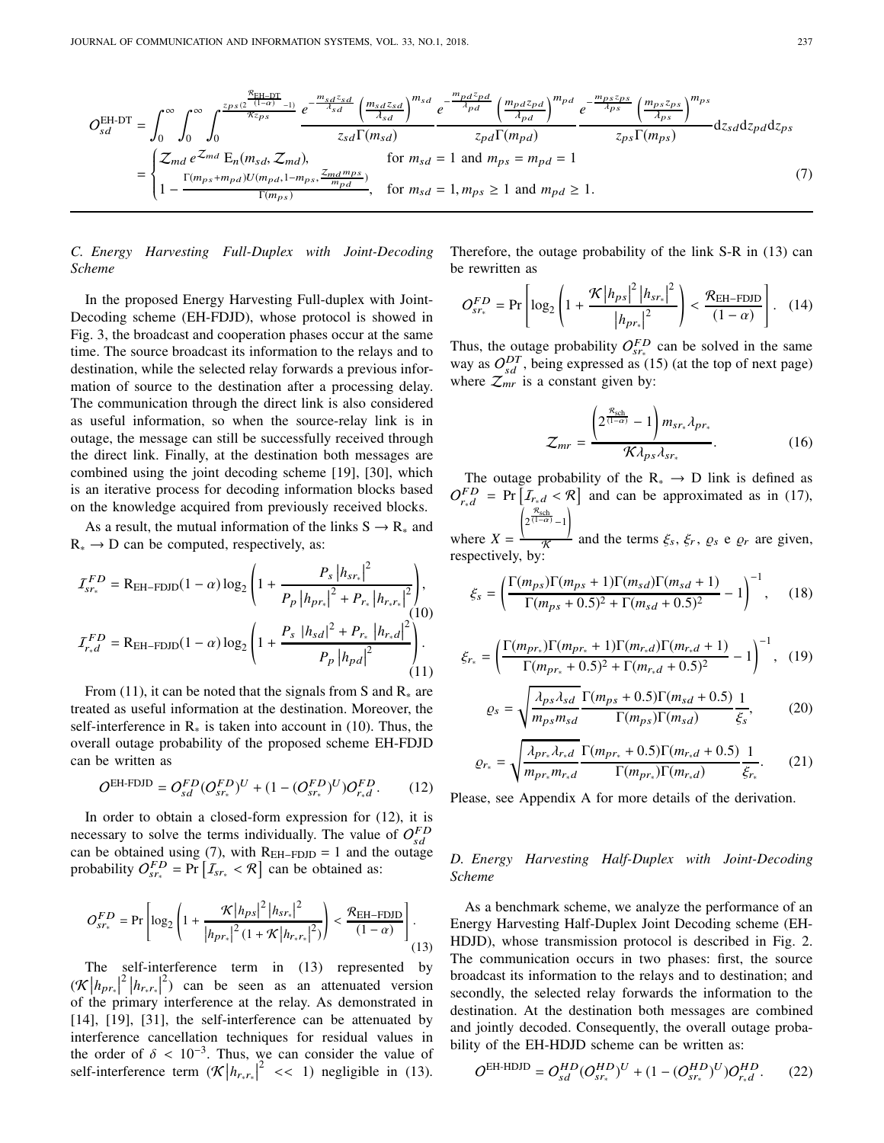$$
O_{sd}^{\text{EH-DT}} = \int_0^\infty \int_0^\infty \int_0^{\frac{z_{ps}(2^{\frac{p_{\text{EH-DT}}}{(1-\alpha)}-1)}}{\sqrt{z_{\text{exp}}}}}\frac{e^{-\frac{m_{sd}z_{sd}}{dz_{sd}}\left(\frac{m_{sd}z_{sd}}{dz_{ds}}\right)^{m_{sd}}}}{z_{sd}\Gamma(m_{sd})}e^{-\frac{m_{pd}z_{pd}}{dz_{pd}}\left(\frac{m_{pd}z_{pd}}{dz_{bd}}\right)^{m_{pd}}}e^{-\frac{m_{ps}z_{ps}}{dz_{ps}}\left(\frac{m_{ps}z_{ps}}{dz_{ps}}\right)^{m_{ps}}}{z_{ps}\Gamma(m_{ps})}dz_{sd}dz_{pd}dz_{ps}
$$
\n
$$
= \begin{cases} \mathcal{Z}_{md}e^{\mathcal{Z}_{md}}E_n(m_{sd}, \mathcal{Z}_{md}), & \text{for } m_{sd} = 1 \text{ and } m_{ps} = m_{pd} = 1\\ 1 - \frac{\Gamma(m_{ps} + m_{pd})U(m_{pd}, 1 - m_{ps}, \frac{z_{md}m_{ps}}{m_{pd}}}{\Gamma(m_{ps})}, & \text{for } m_{sd} = 1, m_{ps} \ge 1 \text{ and } m_{pd} \ge 1. \end{cases} \tag{7}
$$

# *C. Energy Harvesting Full-Duplex with Joint-Decoding Scheme*

In the proposed Energy Harvesting Full-duplex with Joint-Decoding scheme (EH-FDJD), whose protocol is showed in Fig. 3, the broadcast and cooperation phases occur at the same time. The source broadcast its information to the relays and to destination, while the selected relay forwards a previous information of source to the destination after a processing delay. The communication through the direct link is also considered as useful information, so when the source-relay link is in outage, the message can still be successfully received through the direct link. Finally, at the destination both messages are combined using the joint decoding scheme [19], [30], which is an iterative process for decoding information blocks based on the knowledge acquired from previously received blocks.

As a result, the mutual information of the links  $S \rightarrow R_{*}$  and  $R_* \rightarrow D$  can be computed, respectively, as:

$$
I_{sr_{*}}^{FD} = R_{EH-FDJD}(1-\alpha) \log_{2} \left(1 + \frac{P_{s} |h_{sr_{*}}|^{2}}{P_{p} |h_{pr_{*}}|^{2} + P_{r_{*}} |h_{r_{*}r_{*}}|^{2}}\right),
$$
  
\n
$$
I_{r,d}^{FD} = R_{EH-FDJD}(1-\alpha) \log_{2} \left(1 + \frac{P_{s} |h_{sd}|^{2} + P_{r_{*}} |h_{r_{*}d}|^{2}}{P_{p} |h_{pd}|^{2}}\right).
$$
\n(11)

From (11), it can be noted that the signals from S and  $R_*$  are treated as useful information at the destination. Moreover, the self-interference in  $\mathbb{R}_{*}$  is taken into account in (10). Thus, the overall outage probability of the proposed scheme EH-FDJD can be written as

$$
O^{EH+FDD} = O_{sd}^{FD}(O_{sr_*}^{FD})^U + (1 - (O_{sr_*}^{FD})^U)O_{r_*d}^{FD}.
$$
 (12)

In order to obtain a closed-form expression for (12), it is necessary to solve the terms individually. The value of  $O_{sd}^{FD}$ can be obtained using (7), with  $R_{EH-FDJD} = 1$  and the outage probability  $O_{sr_*}^{FD} = \Pr \left[ I_{sr_*} < \mathcal{R} \right]$  can be obtained as:

$$
O_{sr_*}^{FD} = \Pr\left[\log_2\left(1 + \frac{\mathcal{K}|h_{ps}|^2 |h_{sr_*}|^2}{|h_{pr_*}|^2 (1 + \mathcal{K}|h_{r_*r_*}|^2)}\right) < \frac{\mathcal{R}_{EH-FDJD}}{(1-\alpha)}\right].
$$
\n(13)

The self-interference term in (13) represented by  $(\mathcal{K}|h_{pr_*}|^2|h_{r_*r_*}|^2)$  can be seen as an attenuated version of the primary interference at the relay. As demonstrated in [14], [19], [31], the self-interference can be attenuated by interference cancellation techniques for residual values in the order of  $\delta < 10^{-3}$ . Thus, we can consider the value of self-interference term  $(\mathcal{K}|h_{r_*r_*}|^2 \ll 1)$  negligible in (13).

Therefore, the outage probability of the link S-R in (13) can be rewritten as

$$
O_{sr*}^{FD} = \Pr\left[\log_2\left(1 + \frac{\mathcal{K}|h_{ps}|^2 |h_{sr*}|^2}{|h_{pr*}|^2}\right) < \frac{\mathcal{R}_{EH-FDJD}}{(1-\alpha)}\right]. \quad (14)
$$

Thus, the outage probability  $O_{sr_*}^{FD}$  can be solved in the same way as  $O_{sd}^{DT}$ , being expressed as (15) (at the top of next page) where  $\mathcal{Z}_{mr}$  is a constant given by:

$$
\mathcal{Z}_{mr} = \frac{\left(2^{\frac{\mathcal{R}_{\text{sch}}}{(1-\alpha)}} - 1\right) m_{sr_*} \lambda_{pr_*}}{\mathcal{K} \lambda_{ps} \lambda_{sr_*}}.
$$
 (16)

The outage probability of the  $R_* \rightarrow D$  link is defined as  $O_{r,d}^{FD}$  = Pr  $[I_{r,d} < \mathcal{R}]$  and can be approximated as in (17), Í  $2^{\frac{\mathcal{R}_{\text{sch}}}{(1-\alpha)}-1}$ 

where  $X =$  $\frac{1}{\mathcal{K}}$  and the terms  $\xi_s$ ,  $\xi_r$ ,  $\varrho_s$  e  $\varrho_r$  are given, respectively, by:

$$
\xi_s = \left(\frac{\Gamma(m_{ps})\Gamma(m_{ps} + 1)\Gamma(m_{sd})\Gamma(m_{sd} + 1)}{\Gamma(m_{ps} + 0.5)^2 + \Gamma(m_{sd} + 0.5)^2} - 1\right)^{-1},\tag{18}
$$

$$
\xi_{r_*} = \left(\frac{\Gamma(m_{pr_*)}\Gamma(m_{pr_*} + 1)\Gamma(m_{r_*d})\Gamma(m_{r_*d} + 1)}{\Gamma(m_{pr_*} + 0.5)^2 + \Gamma(m_{r_*d} + 0.5)^2} - 1\right)^{-1}, \quad (19)
$$

$$
\varrho_s = \sqrt{\frac{\lambda_{ps}\lambda_{sd}}{m_{ps}m_{sd}}}\frac{\Gamma(m_{ps} + 0.5)\Gamma(m_{sd} + 0.5)}{\Gamma(m_{ps})\Gamma(m_{sd})}\frac{1}{\xi_s},\tag{20}
$$

$$
\varrho_{r_*} = \sqrt{\frac{\lambda_{pr_*}\lambda_{r_*d}}{m_{pr_*}m_{r_*d}}} \frac{\Gamma(m_{pr_*} + 0.5)\Gamma(m_{r_*d} + 0.5)}{\Gamma(m_{pr_*})\Gamma(m_{r_*d})} \frac{1}{\xi_{r_*}}.\tag{21}
$$

Please, see Appendix A for more details of the derivation.

# *D. Energy Harvesting Half-Duplex with Joint-Decoding Scheme*

As a benchmark scheme, we analyze the performance of an Energy Harvesting Half-Duplex Joint Decoding scheme (EH-HDJD), whose transmission protocol is described in Fig. 2. The communication occurs in two phases: first, the source broadcast its information to the relays and to destination; and secondly, the selected relay forwards the information to the destination. At the destination both messages are combined and jointly decoded. Consequently, the overall outage probability of the EH-HDJD scheme can be written as:

$$
O^{EH-HDJD} = O_{sd}^{HD} (O_{sr_*}^{HD})^U + (1 - (O_{sr_*}^{HD})^U) O_{r_*d}^{HD}. \tag{22}
$$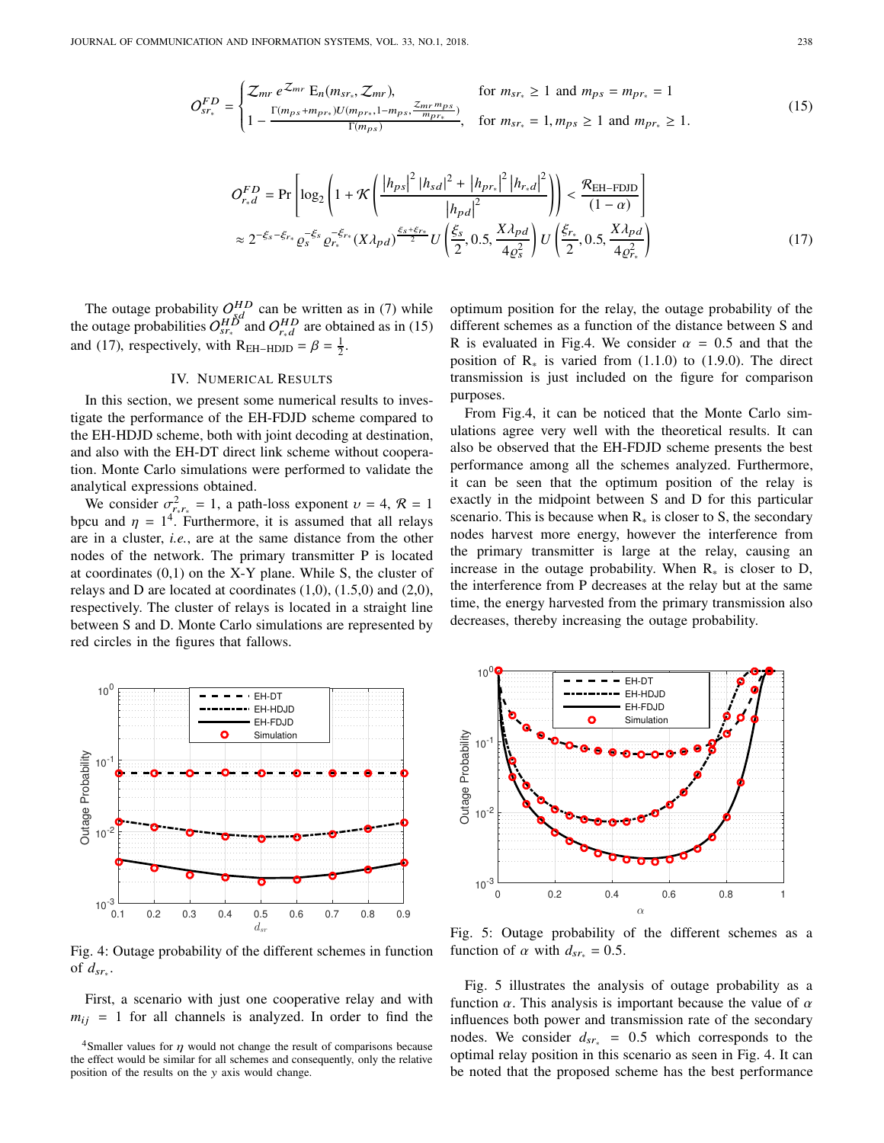$$
O_{sr_*}^{FD} = \begin{cases} Z_{mr} e^{Z_{mr}} E_n(m_{sr_*}, Z_{mr}), & \text{for } m_{sr_*} \ge 1 \text{ and } m_{ps} = m_{pr_*} = 1\\ 1 - \frac{\Gamma(m_{ps} + m_{pr*}) U(m_{pr_*}, 1 - m_{ps}, \frac{Z_{mr} m_{ps}}{m_{pr_*}})}{\Gamma(m_{ps})}, & \text{for } m_{sr_*} = 1, m_{ps} \ge 1 \text{ and } m_{pr_*} \ge 1. \end{cases}
$$
(15)

$$
O_{r,d}^{FD} = \Pr \left[ \log_2 \left( 1 + \mathcal{K} \left( \frac{|h_{ps}|^2 |h_{sd}|^2 + |h_{pr_s}|^2 |h_{r,d}|^2}{|h_{pd}|^2} \right) \right) < \frac{\mathcal{R}_{EH-FDJD}}{(1-\alpha)} \right]
$$
  

$$
\approx 2^{-\xi_s - \xi_{r*}} \varrho_s^{-\xi_s} \varrho_{r*}^{-\xi_{r*}} (X \lambda_{pd})^{\frac{\xi_s + \xi_{r*}}{2}} U \left( \frac{\xi_s}{2}, 0.5, \frac{X \lambda_{pd}}{4 \varrho_s^2} \right) U \left( \frac{\xi_{r*}}{2}, 0.5, \frac{X \lambda_{pd}}{4 \varrho_{r*}^2} \right)
$$
(17)

The outage probability  $O_{H_1}^{HD}$  can be written as in (7) while the outage probabilities  $O_{sr_*}^{HD^*}$  and  $O_{r_*d}^{HD}$  are obtained as in (15) and (17), respectively, with  $R_{EH-HDD} = \beta = \frac{1}{2}$ .

#### IV. NUMERICAL RESULTS

In this section, we present some numerical results to investigate the performance of the EH-FDJD scheme compared to the EH-HDJD scheme, both with joint decoding at destination, and also with the EH-DT direct link scheme without cooperation. Monte Carlo simulations were performed to validate the analytical expressions obtained.

We consider  $\sigma_{r_*r_*}^2 = 1$ , a path-loss exponent  $v = 4$ ,  $\mathcal{R} = 1$ bpcu and  $\eta = 1^4$ . Furthermore, it is assumed that all relays are in a cluster, *i.e.*, are at the same distance from the other nodes of the network. The primary transmitter P is located at coordinates  $(0,1)$  on the X-Y plane. While S, the cluster of relays and D are located at coordinates  $(1,0)$ ,  $(1.5,0)$  and  $(2,0)$ , respectively. The cluster of relays is located in a straight line between S and D. Monte Carlo simulations are represented by red circles in the figures that fallows.

optimum position for the relay, the outage probability of the different schemes as a function of the distance between S and R is evaluated in Fig.4. We consider  $\alpha = 0.5$  and that the position of  $\mathbb{R}_{*}$  is varied from (1.1.0) to (1.9.0). The direct transmission is just included on the figure for comparison purposes.

From Fig.4, it can be noticed that the Monte Carlo simulations agree very well with the theoretical results. It can also be observed that the EH-FDJD scheme presents the best performance among all the schemes analyzed. Furthermore, it can be seen that the optimum position of the relay is exactly in the midpoint between S and D for this particular scenario. This is because when  $R_*$  is closer to S, the secondary nodes harvest more energy, however the interference from the primary transmitter is large at the relay, causing an increase in the outage probability. When  $R_*$  is closer to D, the interference from P decreases at the relay but at the same time, the energy harvested from the primary transmission also decreases, thereby increasing the outage probability.



Fig. 4: Outage probability of the different schemes in function of *d*sr<sup>∗</sup> .

First, a scenario with just one cooperative relay and with  $m_{ij}$  = 1 for all channels is analyzed. In order to find the



Fig. 5: Outage probability of the different schemes as a function of  $\alpha$  with  $d_{sr_*} = 0.5$ .

Fig. 5 illustrates the analysis of outage probability as a function  $\alpha$ . This analysis is important because the value of  $\alpha$ influences both power and transmission rate of the secondary nodes. We consider *d*sr<sup>∗</sup> = 0.5 which corresponds to the optimal relay position in this scenario as seen in Fig. 4. It can be noted that the proposed scheme has the best performance

<sup>&</sup>lt;sup>4</sup>Smaller values for  $\eta$  would not change the result of comparisons because the effect would be similar for all schemes and consequently, only the relative position of the results on the y axis would change.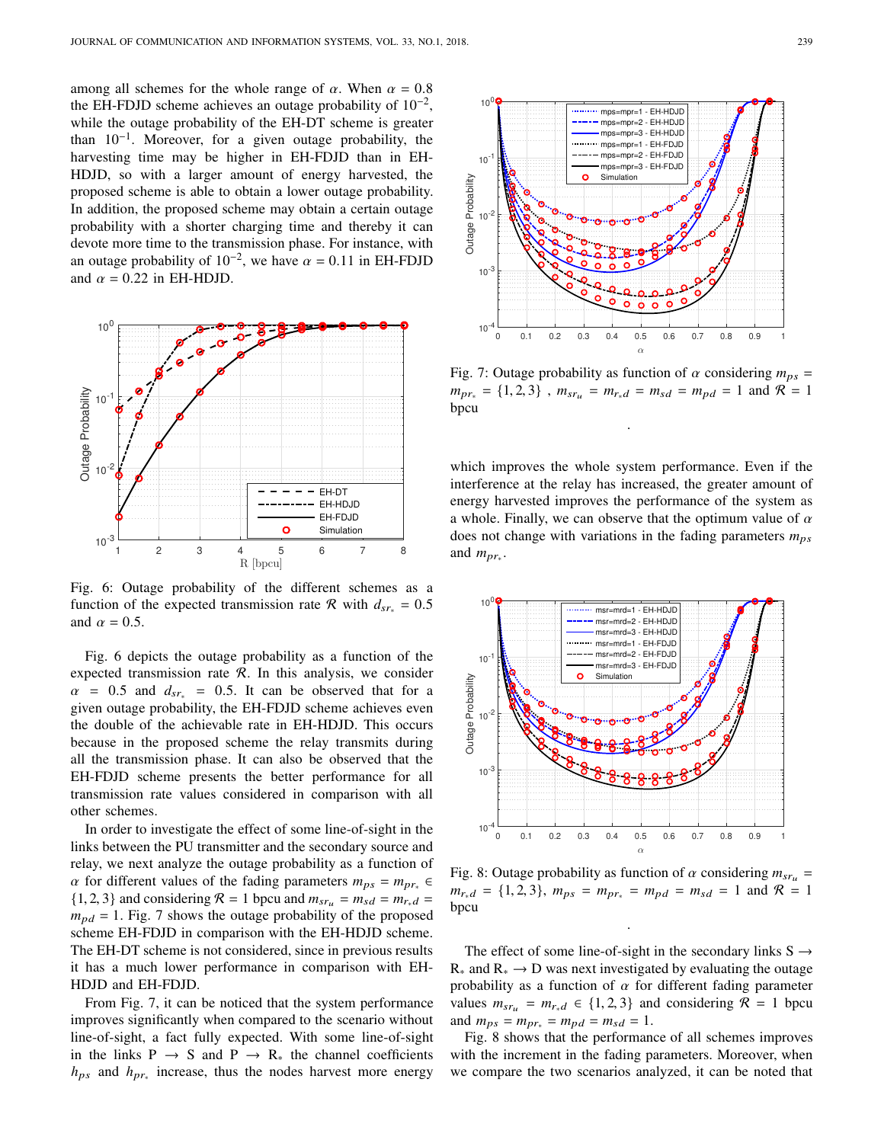among all schemes for the whole range of  $\alpha$ . When  $\alpha = 0.8$ the EH-FDJD scheme achieves an outage probability of  $10^{-2}$ , while the outage probability of the EH-DT scheme is greater than  $10^{-1}$ . Moreover, for a given outage probability, the harvesting time may be higher in EH-FDJD than in EH-HDJD, so with a larger amount of energy harvested, the proposed scheme is able to obtain a lower outage probability. In addition, the proposed scheme may obtain a certain outage probability with a shorter charging time and thereby it can devote more time to the transmission phase. For instance, with an outage probability of  $10^{-2}$ , we have  $\alpha = 0.11$  in EH-FDJD and  $\alpha = 0.22$  in EH-HDJD.



Fig. 6: Outage probability of the different schemes as a function of the expected transmission rate R with  $d_{sr_*} = 0.5$ and  $\alpha = 0.5$ .

Fig. 6 depicts the outage probability as a function of the expected transmission rate  $R$ . In this analysis, we consider  $\alpha$  = 0.5 and  $d_{sr_*}$  = 0.5. It can be observed that for a given outage probability, the EH-FDJD scheme achieves even the double of the achievable rate in EH-HDJD. This occurs because in the proposed scheme the relay transmits during all the transmission phase. It can also be observed that the EH-FDJD scheme presents the better performance for all transmission rate values considered in comparison with all other schemes.

In order to investigate the effect of some line-of-sight in the links between the PU transmitter and the secondary source and relay, we next analyze the outage probability as a function of  $\alpha$  for different values of the fading parameters  $m_{ps} = m_{pr_{*}} \in$  $\{1, 2, 3\}$  and considering  $\mathcal{R} = 1$  bpcu and  $m_{sr_u} = m_{sd} = m_{r*d} =$  $m_{pd} = 1$ . Fig. 7 shows the outage probability of the proposed scheme EH-FDJD in comparison with the EH-HDJD scheme. The EH-DT scheme is not considered, since in previous results it has a much lower performance in comparison with EH-HDJD and EH-FDJD.

From Fig. 7, it can be noticed that the system performance improves significantly when compared to the scenario without line-of-sight, a fact fully expected. With some line-of-sight in the links  $P \rightarrow S$  and  $P \rightarrow R_{*}$  the channel coefficients *h*ps and *h*pr<sup>∗</sup> increase, thus the nodes harvest more energy



Fig. 7: Outage probability as function of  $\alpha$  considering  $m_{ps}$  =  $m_{pr_{*}} = \{1, 2, 3\}$ ,  $m_{sr_{u}} = m_{r_{*}d} = m_{sd} = m_{pd} = 1$  and  $\mathcal{R} = 1$ bpcu

.

which improves the whole system performance. Even if the interference at the relay has increased, the greater amount of energy harvested improves the performance of the system as a whole. Finally, we can observe that the optimum value of  $\alpha$ does not change with variations in the fading parameters  $m_{ps}$ and  $m_{pr_*}$ .



Fig. 8: Outage probability as function of  $\alpha$  considering  $m_{sr_u}$  =  $m_{r_*d} = \{1, 2, 3\}, m_{ps} = m_{pr_*} = m_{pd} = m_{sd} = 1 \text{ and } \mathcal{R} = 1$ bpcu

.

The effect of some line-of-sight in the secondary links  $S \rightarrow$  $R_*$  and  $R_* \to D$  was next investigated by evaluating the outage probability as a function of  $\alpha$  for different fading parameter values  $m_{sr_u} = m_{r*d} \in \{1, 2, 3\}$  and considering  $\mathcal{R} = 1$  bpcu and  $m_{ps} = m_{pr*} = m_{pd} = m_{sd} = 1$ .

Fig. 8 shows that the performance of all schemes improves with the increment in the fading parameters. Moreover, when we compare the two scenarios analyzed, it can be noted that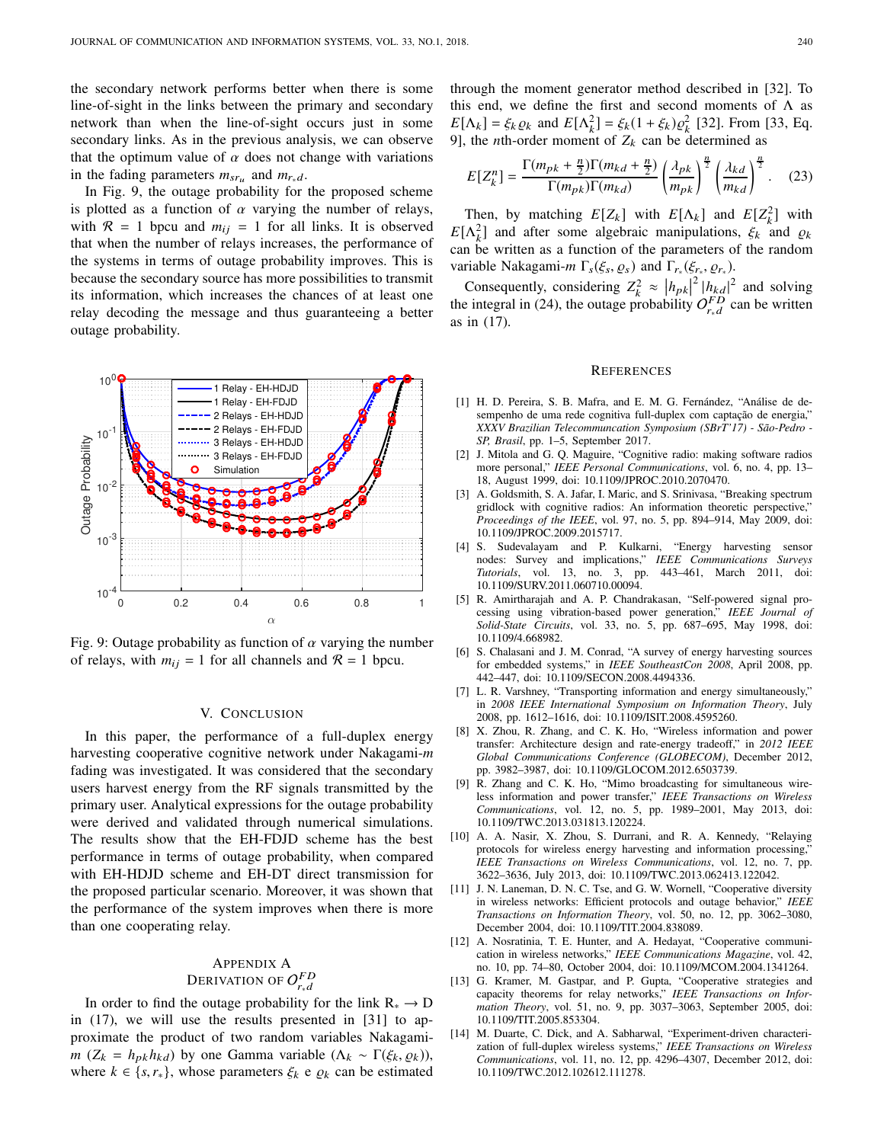the secondary network performs better when there is some line-of-sight in the links between the primary and secondary network than when the line-of-sight occurs just in some secondary links. As in the previous analysis, we can observe that the optimum value of  $\alpha$  does not change with variations in the fading parameters  $m_{sr_u}$  and  $m_{r_*d}$ .

In Fig. 9, the outage probability for the proposed scheme is plotted as a function of  $\alpha$  varying the number of relays, with  $\mathcal{R} = 1$  bpcu and  $m_{ij} = 1$  for all links. It is observed that when the number of relays increases, the performance of the systems in terms of outage probability improves. This is because the secondary source has more possibilities to transmit its information, which increases the chances of at least one relay decoding the message and thus guaranteeing a better outage probability.



Fig. 9: Outage probability as function of  $\alpha$  varying the number of relays, with  $m_{ij} = 1$  for all channels and  $\mathcal{R} = 1$  bpcu.

## V. CONCLUSION

In this paper, the performance of a full-duplex energy harvesting cooperative cognitive network under Nakagami-*m* fading was investigated. It was considered that the secondary users harvest energy from the RF signals transmitted by the primary user. Analytical expressions for the outage probability were derived and validated through numerical simulations. The results show that the EH-FDJD scheme has the best performance in terms of outage probability, when compared with EH-HDJD scheme and EH-DT direct transmission for the proposed particular scenario. Moreover, it was shown that the performance of the system improves when there is more than one cooperating relay.

# APPENDIX A DERIVATION OF  $O_{r_*d}^{FD}$

In order to find the outage probability for the link  $R_* \rightarrow D$ in (17), we will use the results presented in [31] to approximate the product of two random variables Nakagami*m* ( $Z_k = h_{pk}h_{kd}$ ) by one Gamma variable ( $\Lambda_k \sim \Gamma(\xi_k, \varrho_k)$ ), where  $k \in \{s, r_*\}$ , whose parameters  $\xi_k$  e  $\varrho_k$  can be estimated through the moment generator method described in [32]. To this end, we define the first and second moments of  $\Lambda$  as  $E[\Lambda_k] = \xi_k \varrho_k$  and  $E[\Lambda_k^2] = \xi_k (1 + \xi_k) \varrho_k^2$  [32]. From [33, Eq. 9], the *n*th-order moment of  $Z_k$  can be determined as

$$
E[Z_k^n] = \frac{\Gamma(m_{pk} + \frac{n}{2})\Gamma(m_{kd} + \frac{n}{2})}{\Gamma(m_{pk})\Gamma(m_{kd})} \left(\frac{\lambda_{pk}}{m_{pk}}\right)^{\frac{n}{2}} \left(\frac{\lambda_{kd}}{m_{kd}}\right)^{\frac{n}{2}}.
$$
 (23)

Then, by matching  $E[Z_k]$  with  $E[\Lambda_k]$  and  $E[Z_k^2]$  with  $E[\Lambda_k^2]$  and after some algebraic manipulations,  $\xi_k$  and  $\varrho_k$ can be written as a function of the parameters of the random variable Nakagami-*m*  $\Gamma_s(\xi_s, \varrho_s)$  and  $\Gamma_{r_*}(\xi_{r_*}, \varrho_{r_*})$ .

Consequently, considering  $Z_k^2 \approx |h_{pk}|^2 |h_{kd}|^2$  and solving the integral in (24), the outage probability  $O_{r,d}^{FD}$  can be written as in (17).

#### **REFERENCES**

- [1] H. D. Pereira, S. B. Mafra, and E. M. G. Fernández, "Análise de desempenho de uma rede cognitiva full-duplex com captação de energia," *XXXV Brazilian Telecommuncation Symposium (SBrT'17) - São-Pedro - SP, Brasil*, pp. 1–5, September 2017.
- [2] J. Mitola and G. Q. Maguire, "Cognitive radio: making software radios more personal," *IEEE Personal Communications*, vol. 6, no. 4, pp. 13– 18, August 1999, doi: 10.1109/JPROC.2010.2070470.
- [3] A. Goldsmith, S. A. Jafar, I. Maric, and S. Srinivasa, "Breaking spectrum gridlock with cognitive radios: An information theoretic perspective," *Proceedings of the IEEE*, vol. 97, no. 5, pp. 894–914, May 2009, doi: 10.1109/JPROC.2009.2015717.
- [4] S. Sudevalayam and P. Kulkarni, "Energy harvesting sensor nodes: Survey and implications," *IEEE Communications Surveys Tutorials*, vol. 13, no. 3, pp. 443–461, March 2011, doi: 10.1109/SURV.2011.060710.00094.
- [5] R. Amirtharajah and A. P. Chandrakasan, "Self-powered signal processing using vibration-based power generation," *IEEE Journal of Solid-State Circuits*, vol. 33, no. 5, pp. 687–695, May 1998, doi: 10.1109/4.668982.
- [6] S. Chalasani and J. M. Conrad, "A survey of energy harvesting sources for embedded systems," in *IEEE SoutheastCon 2008*, April 2008, pp. 442–447, doi: 10.1109/SECON.2008.4494336.
- [7] L. R. Varshney, "Transporting information and energy simultaneously," in *2008 IEEE International Symposium on Information Theory*, July 2008, pp. 1612–1616, doi: 10.1109/ISIT.2008.4595260.
- [8] X. Zhou, R. Zhang, and C. K. Ho, "Wireless information and power transfer: Architecture design and rate-energy tradeoff," in *2012 IEEE Global Communications Conference (GLOBECOM)*, December 2012, pp. 3982–3987, doi: 10.1109/GLOCOM.2012.6503739.
- [9] R. Zhang and C. K. Ho, "Mimo broadcasting for simultaneous wireless information and power transfer," *IEEE Transactions on Wireless Communications*, vol. 12, no. 5, pp. 1989–2001, May 2013, doi: 10.1109/TWC.2013.031813.120224.
- [10] A. A. Nasir, X. Zhou, S. Durrani, and R. A. Kennedy, "Relaying protocols for wireless energy harvesting and information processing,' *IEEE Transactions on Wireless Communications*, vol. 12, no. 7, pp. 3622–3636, July 2013, doi: 10.1109/TWC.2013.062413.122042.
- [11] J. N. Laneman, D. N. C. Tse, and G. W. Wornell, "Cooperative diversity in wireless networks: Efficient protocols and outage behavior," *IEEE Transactions on Information Theory*, vol. 50, no. 12, pp. 3062–3080, December 2004, doi: 10.1109/TIT.2004.838089.
- [12] A. Nosratinia, T. E. Hunter, and A. Hedayat, "Cooperative communication in wireless networks," *IEEE Communications Magazine*, vol. 42, no. 10, pp. 74–80, October 2004, doi: 10.1109/MCOM.2004.1341264.
- [13] G. Kramer, M. Gastpar, and P. Gupta, "Cooperative strategies and capacity theorems for relay networks," *IEEE Transactions on Information Theory*, vol. 51, no. 9, pp. 3037–3063, September 2005, doi: 10.1109/TIT.2005.853304.
- [14] M. Duarte, C. Dick, and A. Sabharwal, "Experiment-driven characterization of full-duplex wireless systems," *IEEE Transactions on Wireless Communications*, vol. 11, no. 12, pp. 4296–4307, December 2012, doi: 10.1109/TWC.2012.102612.111278.